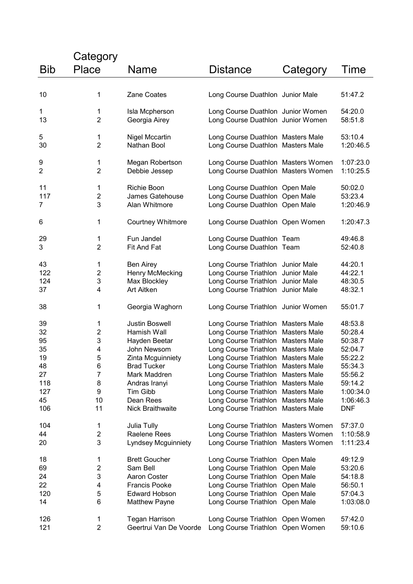|                | Category                  |                            |                                     |                     |            |
|----------------|---------------------------|----------------------------|-------------------------------------|---------------------|------------|
| <b>Bib</b>     | Place                     | <b>Name</b>                | <b>Distance</b>                     | Category            | Time       |
|                |                           |                            |                                     |                     |            |
| 10             | 1                         | Zane Coates                | Long Course Duathlon Junior Male    |                     | 51:47.2    |
| 1              | 1                         | Isla Mcpherson             | Long Course Duathlon Junior Women   |                     | 54:20.0    |
| 13             | $\overline{2}$            | Georgia Airey              | Long Course Duathlon Junior Women   |                     | 58:51.8    |
| 5              | 1                         | <b>Nigel Mccartin</b>      | Long Course Duathlon Masters Male   |                     | 53:10.4    |
| 30             | $\overline{2}$            | Nathan Bool                | Long Course Duathlon Masters Male   |                     | 1:20:46.5  |
| 9              | 1                         | Megan Robertson            | Long Course Duathlon Masters Women  |                     | 1:07:23.0  |
| $\overline{2}$ | $\overline{2}$            | Debbie Jessep              | Long Course Duathlon Masters Women  |                     | 1:10:25.5  |
| 11             | 1                         | Richie Boon                | Long Course Duathlon Open Male      |                     | 50:02.0    |
| 117            | $\overline{c}$            | James Gatehouse            | Long Course Duathlon Open Male      |                     | 53:23.4    |
| $\overline{7}$ | 3                         | Alan Whitmore              | Long Course Duathlon Open Male      |                     | 1:20:46.9  |
| 6              | 1                         | <b>Courtney Whitmore</b>   | Long Course Duathlon Open Women     |                     | 1:20:47.3  |
| 29             | 1                         | Fun Jandel                 | Long Course Duathlon Team           |                     | 49:46.8    |
| 3              | $\overline{2}$            | Fit And Fat                | Long Course Duathlon Team           |                     | 52:40.8    |
| 43             | 1                         | <b>Ben Airey</b>           | Long Course Triathlon Junior Male   |                     | 44:20.1    |
| 122            | $\boldsymbol{2}$          | Henry McMecking            | Long Course Triathlon Junior Male   |                     | 44:22.1    |
| 124            | 3                         | Max Blockley               | Long Course Triathlon Junior Male   |                     | 48:30.5    |
| 37             | 4                         | Art Aitken                 | Long Course Triathlon Junior Male   |                     | 48:32.1    |
| 38             | 1                         | Georgia Waghorn            | Long Course Triathlon Junior Women  |                     | 55:01.7    |
| 39             | 1                         | <b>Justin Boswell</b>      | Long Course Triathlon               | <b>Masters Male</b> | 48:53.8    |
| 32             | $\boldsymbol{2}$          | Hamish Wall                | Long Course Triathlon               | <b>Masters Male</b> | 50:28.4    |
| 95             | 3                         | Hayden Beetar              | Long Course Triathlon               | <b>Masters Male</b> | 50:38.7    |
| 35             | 4                         | John Newsom                | Long Course Triathlon               | <b>Masters Male</b> | 52:04.7    |
| 19             | 5                         | Zinta Mcguinniety          | Long Course Triathlon               | Masters Male        | 55:22.2    |
| 48             | 6                         | <b>Brad Tucker</b>         | Long Course Triathlon Masters Male  |                     | 55:34.3    |
| 27             | 7                         | Mark Maddren               | Long Course Triathlon               | <b>Masters Male</b> | 55:56.2    |
| 118            | 8                         | Andras Iranyi              | Long Course Triathlon               | <b>Masters Male</b> | 59:14.2    |
| 127            | 9                         | <b>Tim Gibb</b>            | Long Course Triathlon               | <b>Masters Male</b> | 1:00:34.0  |
| 45             | 10                        | Dean Rees                  | Long Course Triathlon               | <b>Masters Male</b> | 1:06:46.3  |
| 106            | 11                        | Nick Braithwaite           | Long Course Triathlon               | <b>Masters Male</b> | <b>DNF</b> |
| 104            | 1                         | Julia Tully                | Long Course Triathlon Masters Women |                     | 57:37.0    |
| 44             | $\boldsymbol{2}$          | Raelene Rees               | Long Course Triathlon Masters Women |                     | 1:10:58.9  |
| 20             | 3                         | <b>Lyndsey Mcguinniety</b> | Long Course Triathlon Masters Women |                     | 1:11:23.4  |
| 18             | 1                         | <b>Brett Goucher</b>       | Long Course Triathlon Open Male     |                     | 49:12.9    |
| 69             | $\boldsymbol{2}$          | Sam Bell                   | Long Course Triathlon Open Male     |                     | 53:20.6    |
| 24             | $\ensuremath{\mathsf{3}}$ | Aaron Coster               | Long Course Triathlon Open Male     |                     | 54:18.8    |
| 22             | 4                         | Francis Pooke              | Long Course Triathlon Open Male     |                     | 56:50.1    |
| 120            | $\mathbf 5$               | <b>Edward Hobson</b>       | Long Course Triathlon Open Male     |                     | 57:04.3    |
| 14             | 6                         | <b>Matthew Payne</b>       | Long Course Triathlon Open Male     |                     | 1:03:08.0  |
| 126            | 1                         | <b>Tegan Harrison</b>      | Long Course Triathlon Open Women    |                     | 57:42.0    |
| 121            | $\overline{2}$            | Geertrui Van De Voorde     | Long Course Triathlon Open Women    |                     | 59:10.6    |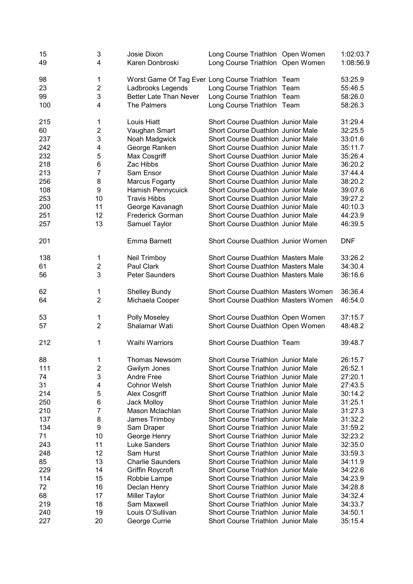| 15  | 3                       | Josie Dixon                                       | Long Course Triathlon Open Women          | 1:02:03.7  |
|-----|-------------------------|---------------------------------------------------|-------------------------------------------|------------|
| 49  | 4                       | Karen Donbroski                                   | Long Course Triathlon Open Women          | 1:08:56.9  |
| 98  | 1                       | Worst Game Of Tag Ever Long Course Triathlon Team |                                           | 53:25.9    |
| 23  | $\overline{c}$          | Ladbrooks Legends                                 | Long Course Triathlon Team                | 55:46.5    |
| 99  | 3                       | <b>Better Late Than Never</b>                     | Long Course Triathlon Team                | 58:26.0    |
| 100 | 4                       | The Palmers                                       | Long Course Triathlon Team                | 58:26.3    |
| 215 | 1                       | Louis Hiatt                                       | Short Course Duathlon Junior Male         | 31:29.4    |
| 60  | $\overline{c}$          | Vaughan Smart                                     | Short Course Duathlon Junior Male         | 32:25.5    |
| 237 | 3                       | Noah Madgwick                                     | Short Course Duathlon Junior Male         | 33:01.6    |
| 242 | 4                       | George Ranken                                     | Short Course Duathlon Junior Male         | 35:11.7    |
| 232 | 5                       | Max Cosgriff                                      | Short Course Duathlon Junior Male         | 35:26.4    |
| 218 | 6                       | Zac Hibbs                                         | Short Course Duathlon Junior Male         | 36:20.2    |
| 213 | $\overline{7}$          | Sam Ensor                                         | Short Course Duathlon Junior Male         | 37:44.4    |
| 256 | 8                       | <b>Marcus Fogarty</b>                             | Short Course Duathlon Junior Male         | 38:20.2    |
| 108 | 9                       | Hamish Pennycuick                                 | Short Course Duathlon Junior Male         | 39:07.6    |
| 253 | 10                      | <b>Travis Hibbs</b>                               | <b>Short Course Duathlon Junior Male</b>  | 39:27.2    |
| 200 | 11                      | George Kavanagh                                   | Short Course Duathlon Junior Male         | 40:10.3    |
| 251 | 12                      | <b>Frederick Gorman</b>                           | Short Course Duathlon Junior Male         | 44:23.9    |
| 257 | 13                      | Samuel Taylor                                     | Short Course Duathlon Junior Male         | 46:39.5    |
| 201 |                         | Emma Barnett                                      | Short Course Duathlon Junior Women        | <b>DNF</b> |
| 138 | 1                       | Neil Trimboy                                      | <b>Short Course Duathlon Masters Male</b> | 33:26.2    |
| 61  | $\overline{2}$          | Paul Clark                                        | <b>Short Course Duathlon Masters Male</b> | 34:30.4    |
| 56  | 3                       | <b>Peter Saunders</b>                             | <b>Short Course Duathlon Masters Male</b> | 36:16.6    |
| 62  | 1                       | <b>Shelley Bundy</b>                              | Short Course Duathlon Masters Women       | 36:36.4    |
| 64  | $\overline{2}$          | Michaela Cooper                                   | Short Course Duathlon Masters Women       | 46:54.0    |
| 53  | 1                       | Polly Moseley                                     | Short Course Duathlon Open Women          | 37:15.7    |
| 57  | $\overline{2}$          | Shalamar Wati                                     | Short Course Duathlon Open Women          | 48:48.2    |
| 212 | 1                       | <b>Waihi Warriors</b>                             | Short Course Duathlon Team                | 39:48.7    |
| 88  | 1                       | Thomas Newsom                                     | Short Course Triathlon Junior Male        | 26:15.7    |
| 111 | $\overline{\mathbf{c}}$ | Gwilym Jones                                      | Short Course Triathlon Junior Male        | 26:52.1    |
| 74  | 3                       | <b>Andre Free</b>                                 | Short Course Triathlon Junior Male        | 27:20.1    |
| 31  | 4                       | <b>Cohnor Welsh</b>                               | Short Course Triathlon Junior Male        | 27:43.5    |
| 214 | 5                       | Alex Cosgriff                                     | Short Course Triathlon Junior Male        | 30:14.2    |
| 250 | 6                       | Jack Molloy                                       | Short Course Triathlon Junior Male        | 31:25.1    |
| 210 | 7                       | Mason Mclachlan                                   | Short Course Triathlon Junior Male        | 31:27.3    |
| 137 | 8                       | James Trimboy                                     | Short Course Triathlon Junior Male        | 31:32.2    |
| 134 | 9                       | Sam Draper                                        | Short Course Triathlon Junior Male        | 31:59.2    |
| 71  | 10                      | George Henry                                      | Short Course Triathlon Junior Male        | 32:23.2    |
| 243 | 11                      | <b>Luke Sanders</b>                               | Short Course Triathlon Junior Male        | 32:35.0    |
| 248 | 12                      | Sam Hurst                                         | Short Course Triathlon Junior Male        | 33:59.3    |
| 85  | 13                      | <b>Charlie Saunders</b>                           | Short Course Triathlon Junior Male        | 34:11.9    |
| 229 | 14                      | Griffin Roycroft                                  | Short Course Triathlon Junior Male        | 34:22.6    |
| 114 | 15                      | Robbie Lampe                                      | Short Course Triathlon Junior Male        | 34:23.9    |
| 72  | 16                      | Declan Henry                                      | Short Course Triathlon Junior Male        | 34:28.8    |
| 68  | 17                      | <b>Miller Taylor</b>                              | Short Course Triathlon Junior Male        | 34:32.4    |
| 219 | 18                      | Sam Maxwell                                       | Short Course Triathlon Junior Male        | 34:33.7    |
| 240 | 19                      | Louis O'Sullivan                                  | Short Course Triathlon Junior Male        | 34:50.1    |
| 227 | 20                      | George Currie                                     | Short Course Triathlon Junior Male        | 35:15.4    |